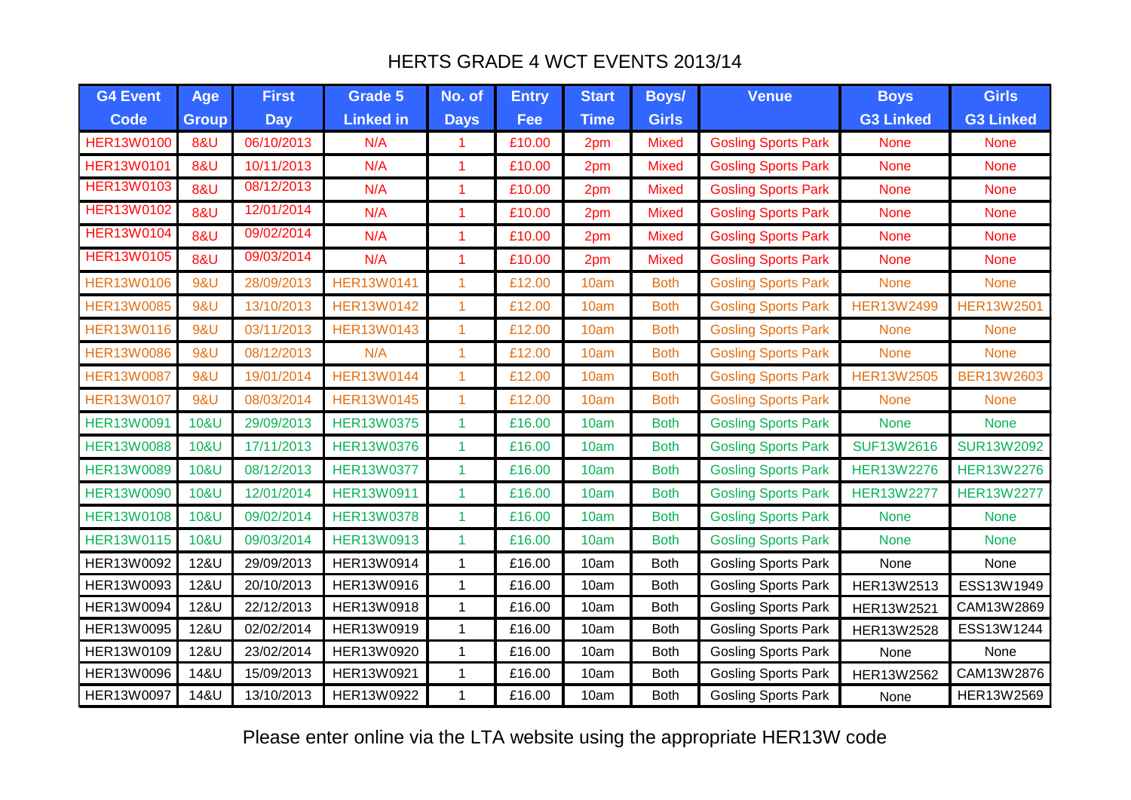## HERTS GRADE 4 WCT EVENTS 2013/14

| <b>G4 Event</b>   | Age             | <b>First</b> | Grade 5           | No. of               | <b>Entry</b> | <b>Start</b> | <b>Boys/</b> | <b>Venue</b>               | <b>Boys</b>       | <b>Girls</b>      |
|-------------------|-----------------|--------------|-------------------|----------------------|--------------|--------------|--------------|----------------------------|-------------------|-------------------|
| <b>Code</b>       | <b>Group</b>    | <b>Day</b>   | <b>Linked in</b>  | <b>Days</b>          | <b>Fee</b>   | <b>Time</b>  | <b>Girls</b> |                            | <b>G3 Linked</b>  | <b>G3 Linked</b>  |
| <b>HER13W0100</b> | <b>8&amp;U</b>  | 06/10/2013   | N/A               | 1                    | £10.00       | 2pm          | <b>Mixed</b> | <b>Gosling Sports Park</b> | <b>None</b>       | <b>None</b>       |
| <b>HER13W0101</b> | <b>8&amp;U</b>  | 10/11/2013   | N/A               | 1                    | £10.00       | 2pm          | <b>Mixed</b> | <b>Gosling Sports Park</b> | <b>None</b>       | <b>None</b>       |
| <b>HER13W0103</b> | <b>8&amp;U</b>  | 08/12/2013   | N/A               | 1                    | £10.00       | 2pm          | <b>Mixed</b> | <b>Gosling Sports Park</b> | <b>None</b>       | <b>None</b>       |
| <b>HER13W0102</b> | <b>8&amp;U</b>  | 12/01/2014   | N/A               | 1                    | £10.00       | 2pm          | <b>Mixed</b> | <b>Gosling Sports Park</b> | <b>None</b>       | <b>None</b>       |
| <b>HER13W0104</b> | <b>8&amp;U</b>  | 09/02/2014   | N/A               | 1                    | £10.00       | 2pm          | <b>Mixed</b> | <b>Gosling Sports Park</b> | <b>None</b>       | <b>None</b>       |
| <b>HER13W0105</b> | <b>8&amp;U</b>  | 09/03/2014   | N/A               | 1                    | £10.00       | 2pm          | <b>Mixed</b> | <b>Gosling Sports Park</b> | <b>None</b>       | <b>None</b>       |
| <b>HER13W0106</b> | <b>9&amp;U</b>  | 28/09/2013   | <b>HER13W0141</b> | $\overline{1}$       | £12.00       | 10am         | <b>Both</b>  | <b>Gosling Sports Park</b> | <b>None</b>       | <b>None</b>       |
| <b>HER13W0085</b> | <b>9&amp;U</b>  | 13/10/2013   | <b>HER13W0142</b> | $\blacktriangleleft$ | £12.00       | 10am         | <b>Both</b>  | <b>Gosling Sports Park</b> | <b>HER13W2499</b> | <b>HER13W2501</b> |
| <b>HER13W0116</b> | <b>9&amp;U</b>  | 03/11/2013   | <b>HER13W0143</b> | $\blacktriangleleft$ | £12.00       | 10am         | <b>Both</b>  | <b>Gosling Sports Park</b> | <b>None</b>       | <b>None</b>       |
| <b>HER13W0086</b> | <b>9&amp;U</b>  | 08/12/2013   | N/A               | 1                    | £12.00       | 10am         | <b>Both</b>  | <b>Gosling Sports Park</b> | <b>None</b>       | <b>None</b>       |
| <b>HER13W0087</b> | <b>9&amp;U</b>  | 19/01/2014   | <b>HER13W0144</b> | 1                    | £12.00       | 10am         | <b>Both</b>  | <b>Gosling Sports Park</b> | <b>HER13W2505</b> | <b>BER13W2603</b> |
| <b>HER13W0107</b> | <b>9&amp;U</b>  | 08/03/2014   | <b>HER13W0145</b> | $\overline{1}$       | £12.00       | 10am         | <b>Both</b>  | <b>Gosling Sports Park</b> | <b>None</b>       | <b>None</b>       |
| <b>HER13W0091</b> | <b>10&amp;U</b> | 29/09/2013   | <b>HER13W0375</b> | 1                    | £16.00       | 10am         | <b>Both</b>  | <b>Gosling Sports Park</b> | <b>None</b>       | <b>None</b>       |
| <b>HER13W0088</b> | <b>10&amp;U</b> | 17/11/2013   | <b>HER13W0376</b> | $\blacktriangleleft$ | £16.00       | 10am         | <b>Both</b>  | <b>Gosling Sports Park</b> | <b>SUF13W2616</b> | <b>SUR13W2092</b> |
| <b>HER13W0089</b> | 10&U            | 08/12/2013   | <b>HER13W0377</b> | 1                    | £16.00       | 10am         | <b>Both</b>  | <b>Gosling Sports Park</b> | <b>HER13W2276</b> | <b>HER13W2276</b> |
| <b>HER13W0090</b> | 10&U            | 12/01/2014   | <b>HER13W0911</b> | 1                    | £16.00       | 10am         | <b>Both</b>  | <b>Gosling Sports Park</b> | <b>HER13W2277</b> | <b>HER13W2277</b> |
| <b>HER13W0108</b> | <b>10&amp;U</b> | 09/02/2014   | <b>HER13W0378</b> | 1                    | £16.00       | 10am         | <b>Both</b>  | <b>Gosling Sports Park</b> | <b>None</b>       | <b>None</b>       |
| <b>HER13W0115</b> | <b>10&amp;U</b> | 09/03/2014   | <b>HER13W0913</b> | 1                    | £16.00       | 10am         | <b>Both</b>  | <b>Gosling Sports Park</b> | <b>None</b>       | <b>None</b>       |
| HER13W0092        | 12&U            | 29/09/2013   | HER13W0914        | 1                    | £16.00       | 10am         | <b>Both</b>  | <b>Gosling Sports Park</b> | None              | None              |
| HER13W0093        | 12&U            | 20/10/2013   | HER13W0916        | $\mathbf{1}$         | £16.00       | 10am         | <b>Both</b>  | <b>Gosling Sports Park</b> | HER13W2513        | ESS13W1949        |
| HER13W0094        | 12&U            | 22/12/2013   | HER13W0918        | $\mathbf{1}$         | £16.00       | 10am         | <b>Both</b>  | <b>Gosling Sports Park</b> | HER13W2521        | CAM13W2869        |
| HER13W0095        | 12&U            | 02/02/2014   | HER13W0919        | 1                    | £16.00       | 10am         | <b>Both</b>  | <b>Gosling Sports Park</b> | HER13W2528        | ESS13W1244        |
| HER13W0109        | 12&U            | 23/02/2014   | HER13W0920        | 1                    | £16.00       | 10am         | <b>Both</b>  | <b>Gosling Sports Park</b> | None              | None              |
| HER13W0096        | 14&U            | 15/09/2013   | HER13W0921        | $\mathbf 1$          | £16.00       | 10am         | <b>Both</b>  | <b>Gosling Sports Park</b> | HER13W2562        | CAM13W2876        |
| HER13W0097        | 14&U            | 13/10/2013   | HER13W0922        | 1                    | £16.00       | 10am         | <b>Both</b>  | <b>Gosling Sports Park</b> | None              | HER13W2569        |

Please enter online via the LTA website using the appropriate HER13W code